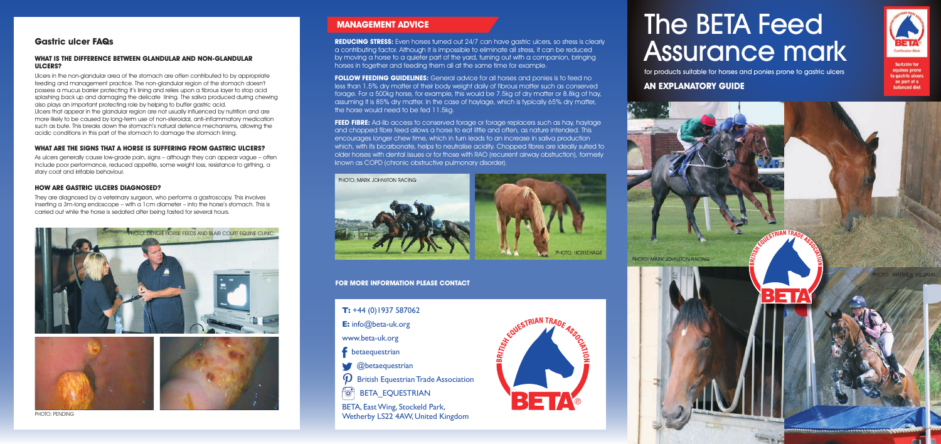# The BETA Feed Assurance mark

for products suitable for horses and ponies prone to gastric ulcers

# **AN EXPLANATORY GUIDE**



**Suitable for** equines prone to gastric ulcers as part of a **balanced diet** 



## **MANAGEMENT ADVICE**

**REDUCING STRESS:** Even horses turned out 24/7 can have gastric ulcers, so stress is clearly a contributing factor. Although it is impossible to eliminate all stress, it can be reduced by moving a horse to a quieter part of the yard, turning out with a companion, bringing horses in together and feeding them all at the same time for example.

**FOLLOW FEEDING GUIDELINES:** General advice for all horses and ponies is to feed no less than 1.5% dry matter of their body weight daily of fibrous matter such as conserved forage. For a 500kg horse, for example, this would be 7.5kg of dry matter or 8.8kg of hay, assuming it is 85% dry matter. In the case of haylage, which is typically 65% dry matter, the horse would need to be fed 11.5kg.

**FEED FIBRE:** Ad-lib access to conserved forage or forage replacers such as hay, haylage and chopped fibre feed allows a horse to eat little and often, as nature intended. This encourages longer chew time, which in turn leads to an increase in saliva production which, with its bicarbonate, helps to neutralise acidity. Chopped fibres are ideally suited to older horses with dental issues or for those with RAO (recurrent airway obstruction), formerly known as COPD (chronic obstructive pulmonary disorder).



PHOTO: HORSEHAGE

**T:** +44 (0)1937 587062 **E:** info@beta-uk.org www.beta-uk.org f betaequestrian **@betaequestrian**  $\boldsymbol{\varphi}$  $\bm{\mathcal{P}}$  British Equestrian Trade Association<br>"o BETA EOUESTRIAN BETA EQUESTRIAN BETA, East Wing, Stockeld Park, Wetherby LS22 4AW, United Kingdom



#### **Gastric ulcer FAQs**

#### **WHAT IS THE DIFFERENCE BETWEEN GLANDULAR AND NON-GLANDULAR ULCERS?**

Ulcers in the non-glandular area of the stomach are often contributed to by appropriate feeding and management practice. The non-glandular region of the stomach doesn't possess a mucus barrier protecting it's lining and relies upon a fibrous layer to stop acid splashing back up and damaging the delicate lining. The saliva produced during chewing also plays an important protecting role by helping to buffer gastric acid. Ulcers that appear in the glandular region are not usually influenced by nutrition and are more likely to be caused by long-term use of non-steroidal, anti-inflammatory medication such as bute. This breaks down the stomach's natural defence mechanisms, allowing the acidic conditions in this part of the stomach to damage the stomach lining.

#### **WHAT ARE THE SIGNS THAT A HORSE IS SUFFERING FROM GASTRIC ULCERS?**

As ulcers generally cause low-grade pain, signs – although they can appear vague – often include poor performance, reduced appetite, some weight loss, resistance to girthing, a stary coat and irritable behaviour.

#### **HOW ARE GASTRIC ULCERS DIAGNOSED?**

They are diagnosed by a veterinary surgeon, who performs a gastroscopy. This involves inserting a 3m-long endoscope – with a 1cm diameter – into the horse's stomach. This is carried out while the horse is sedated after being fasted for several hours.

**FOR MORE INFORMATION PLEASE CONTACT** 







PHOTO: PENDING